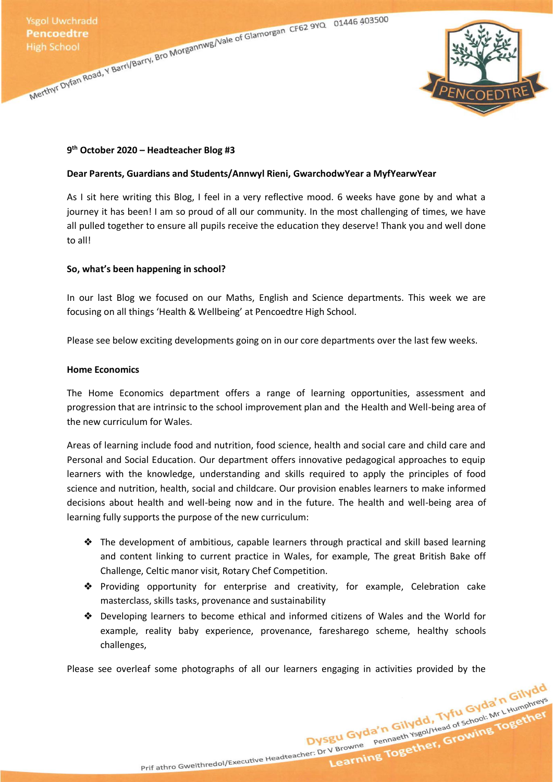Ysgol Uwchradd<br>
Pencoedtre<br>
High School<br>
Merthyr Dyfan Road, Y Barri/Barry, Bro Morgannwg/Vale of Glamorgan CF62 9YQ<br>
Merthyr Dyfan Road, Y Barri/Barry, Bro Morgannwg/Vale of Glamorgan CF62 9YQ<br>
Merthyr Dyfan Road, Y Barri



# **9 th October 2020 – Headteacher Blog #3**

### **Dear Parents, Guardians and Students/Annwyl Rieni, GwarchodwYear a MyfYearwYear**

As I sit here writing this Blog, I feel in a very reflective mood. 6 weeks have gone by and what a journey it has been! I am so proud of all our community. In the most challenging of times, we have all pulled together to ensure all pupils receive the education they deserve! Thank you and well done to all!

# **So, what's been happening in school?**

In our last Blog we focused on our Maths, English and Science departments. This week we are focusing on all things 'Health & Wellbeing' at Pencoedtre High School.

Please see below exciting developments going on in our core departments over the last few weeks.

### **Home Economics**

The Home Economics department offers a range of learning opportunities, assessment and progression that are intrinsic to the school improvement plan and the Health and Well-being area of the new curriculum for Wales.

Areas of learning include food and nutrition, food science, health and social care and child care and Personal and Social Education. Our department offers innovative pedagogical approaches to equip learners with the knowledge, understanding and skills required to apply the principles of food science and nutrition, health, social and childcare. Our provision enables learners to make informed decisions about health and well-being now and in the future. The health and well-being area of learning fully supports the purpose of the new curriculum:

- ❖ The development of ambitious, capable learners through practical and skill based learning and content linking to current practice in Wales, for example, The great British Bake off Challenge, Celtic manor visit, Rotary Chef Competition.
- ❖ Providing opportunity for enterprise and creativity, for example, Celebration cake masterclass, skills tasks, provenance and sustainability
- ❖ Developing learners to become ethical and informed citizens of Wales and the World for example, reality baby experience, provenance, faresharego scheme, healthy schools challenges,

Prif athro Gweithredol/Executive Headteacher: Dr V Browne Pennaeth Ysgol/Head of School: Mr L Humphreys

Dysgu Gyda'n Gilydd, Tyfu Gyda'n Gilydd<br>Dysgu Gyda'n Gilydd, Tyfu Gyda'n Gilydd<br>Dysgu Gyda'n Gilydd, Tyfu Gyda'n Gilydd<br>Pennaeth Ysgol/Head of School: Mr. Lillimphreys

Please see overleaf some photographs of all our learners engaging in activities provided by the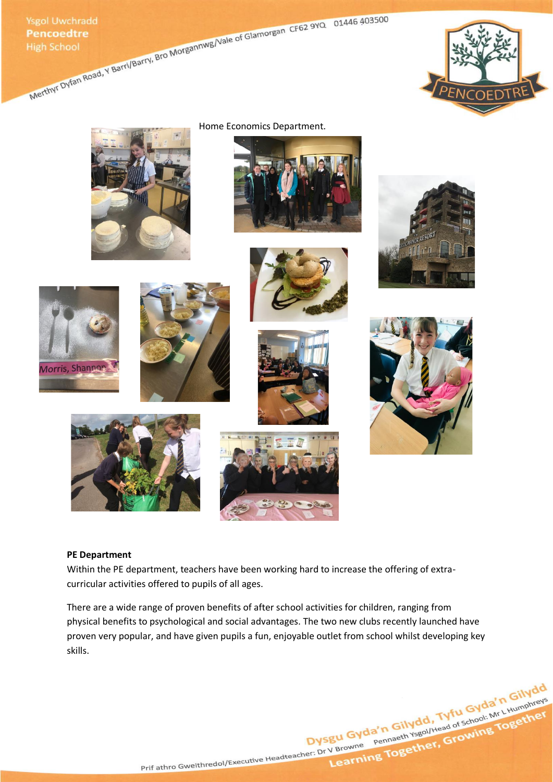Ysgol Uwchradd<br>
Pencoedtre<br>
High School<br>
Merthyl Dyfan Road, Y Barri/Barry, Bro Morgannwg/Vale of Glamorgan CF62 9YQ<br>
Merthyl Dyfan Road, Y Barri/Barry, Bro Morgannwg/Vale of Glamorgan CF62 9YQ<br>
Merthyl Dyfan Road, Y Barri





Home Economics Department.





















# **PE Department**

Within the PE department, teachers have been working hard to increase the offering of extracurricular activities offered to pupils of all ages.

There are a wide range of proven benefits of after school activities for children, ranging from physical benefits to psychological and social advantages. The two new clubs recently launched have proven very popular, and have given pupils a fun, enjoyable outlet from school whilst developing key skills.

Dysgu Gyda'n Gilydd, Tyfu Gyda'n Gilydd<br>Dysgu Gyda'n Gilydd, Tyfu Gyda'n Gilydd<br>Dysgu Gyda'n Gilydd, Tyfu Gyda'n Gilydd<br>Per: Dr V Browne Pennaeth Ysgol/Head of School: Mr L Humphreys Prif athro Gweithredol/Executive Headteacher: Dr V Browne Pennaeth Ysgol/Head of School: Mr L Humphreys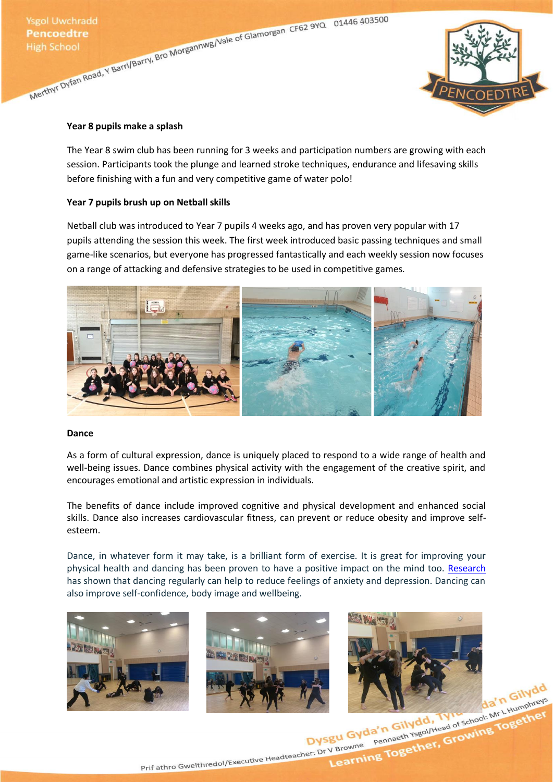Ysgol Uwchradd<br>
Pencoedtre<br>
High School<br>
Merthyr Dyfan Road, Y Barri/Barry, Bro Morgannwg/Vale of Glamorgan CF62 9YQ<br>
Merthyr Dyfan Road, Y Barri/Barry, Bro Morgannwg/Vale of Glamorgan CF62 9YQ<br>
Merthyr Dyfan Road, Y Barri



### **Year 8 pupils make a splash**

The Year 8 swim club has been running for 3 weeks and participation numbers are growing with each session. Participants took the plunge and learned stroke techniques, endurance and lifesaving skills before finishing with a fun and very competitive game of water polo!

# **Year 7 pupils brush up on Netball skills**

Netball club was introduced to Year 7 pupils 4 weeks ago, and has proven very popular with 17 pupils attending the session this week. The first week introduced basic passing techniques and small game-like scenarios, but everyone has progressed fantastically and each weekly session now focuses on a range of attacking and defensive strategies to be used in competitive games.



### **Dance**

As a form of cultural expression, dance is uniquely placed to respond to a wide range of health and well-being issues. Dance combines physical activity with the engagement of the creative spirit, and encourages emotional and artistic expression in individuals.

The benefits of dance include improved cognitive and physical development and enhanced social skills. Dance also increases cardiovascular fitness, can prevent or reduce obesity and improve selfesteem.

Dance, in whatever form it may take, is a brilliant form of exercise. It is great for improving your physical health and dancing has been proven to have a positive impact on the mind too. [Research](https://journals.sagepub.com/doi/abs/10.2466/pms.1984.58.3.767) has shown that dancing regularly can help to reduce feelings of anxiety and depression. Dancing can also improve self-confidence, body image and wellbeing.





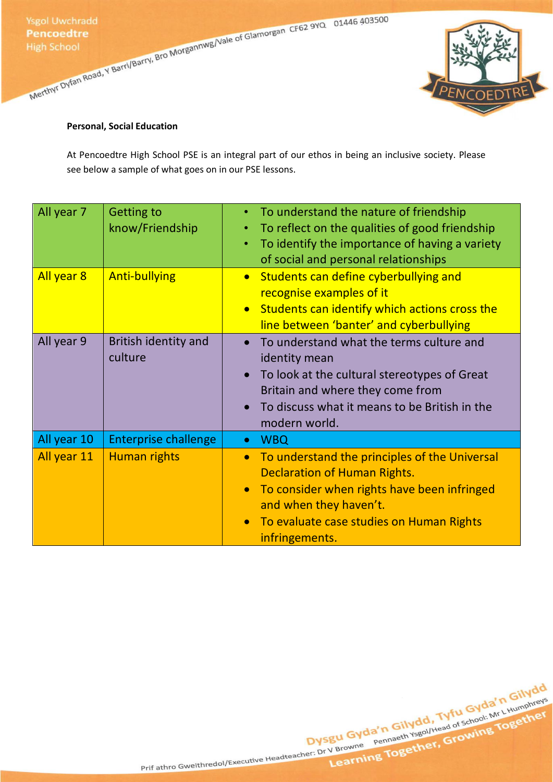Ysgol Uwchradd<br>
Pencoedtre<br>
High School<br>
Merthyl Dyfan Road, Y Barri/Barry, Bro Morgannwg/Vale of Glamorgan CF62 9YQ<br>
Merthyl Dyfan Road, Y Barri/Barry, Bro Morgannwg/Vale of Glamorgan CF62 9YQ<br>
Merthyl Dyfan Road, Y Barri



# **Personal, Social Education**

At Pencoedtre High School PSE is an integral part of our ethos in being an inclusive society. Please see below a sample of what goes on in our PSE lessons.

| All year 7<br>All year 8 | <b>Getting to</b><br>know/Friendship<br><b>Anti-bullying</b> | To understand the nature of friendship<br>$\bullet$<br>To reflect on the qualities of good friendship<br>$\bullet$<br>To identify the importance of having a variety<br>$\bullet$<br>of social and personal relationships<br>Students can define cyberbullying and<br>$\bullet$<br>recognise examples of it<br>Students can identify which actions cross the<br>$\bullet$<br>line between 'banter' and cyberbullying |
|--------------------------|--------------------------------------------------------------|----------------------------------------------------------------------------------------------------------------------------------------------------------------------------------------------------------------------------------------------------------------------------------------------------------------------------------------------------------------------------------------------------------------------|
| All year 9               | <b>British identity and</b><br>culture                       | To understand what the terms culture and<br>identity mean<br>To look at the cultural stereotypes of Great<br>Britain and where they come from<br>To discuss what it means to be British in the<br>$\bullet$<br>modern world.                                                                                                                                                                                         |
| All year 10              | <b>Enterprise challenge</b>                                  | <b>WBQ</b><br>$\bullet$                                                                                                                                                                                                                                                                                                                                                                                              |
| All year 11              | Human rights                                                 | To understand the principles of the Universal<br>$\bullet$<br><b>Declaration of Human Rights.</b><br>To consider when rights have been infringed<br>$\bullet$<br>and when they haven't.<br>To evaluate case studies on Human Rights<br>infringements.                                                                                                                                                                |